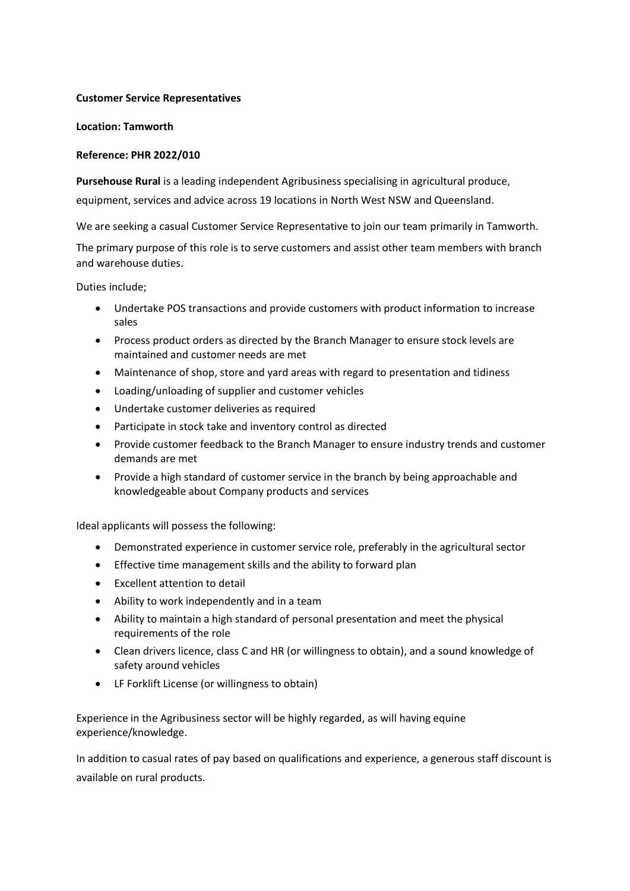## **Customer Service Representatives**

## **Location: Tamworth**

## **Reference: PHR 2022/010**

**Pursehouse Rural** is a leading independent Agribusiness specialising in agricultural produce, equipment, services and advice across 19 locations in North West NSW and Queensland.

We are seeking a casual Customer Service Representative to join our team primarily in Tamworth.

The primary purpose of this role is to serve customers and assist other team members with branch and warehouse duties.

Duties include;

- Undertake POS transactions and provide customers with product information to increase sales
- Process product orders as directed by the Branch Manager to ensure stock levels are maintained and customer needs are met
- Maintenance of shop, store and yard areas with regard to presentation and tidiness
- Loading/unloading of supplier and customer vehicles
- Undertake customer deliveries as required
- Participate in stock take and inventory control as directed
- Provide customer feedback to the Branch Manager to ensure industry trends and customer demands are met
- Provide a high standard of customer service in the branch by being approachable and knowledgeable about Company products and services

Ideal applicants will possess the following:

- Demonstrated experience in customer service role, preferably in the agricultural sector
- Effective time management skills and the ability to forward plan
- Excellent attention to detail
- Ability to work independently and in a team
- Ability to maintain a high standard of personal presentation and meet the physical requirements of the role
- Clean drivers licence, class C and HR (or willingness to obtain), and a sound knowledge of safety around vehicles
- LF Forklift License (or willingness to obtain)

Experience in the Agribusiness sector will be highly regarded, as will having equine experience/knowledge.

In addition to casual rates of pay based on qualifications and experience, a generous staff discount is available on rural products.